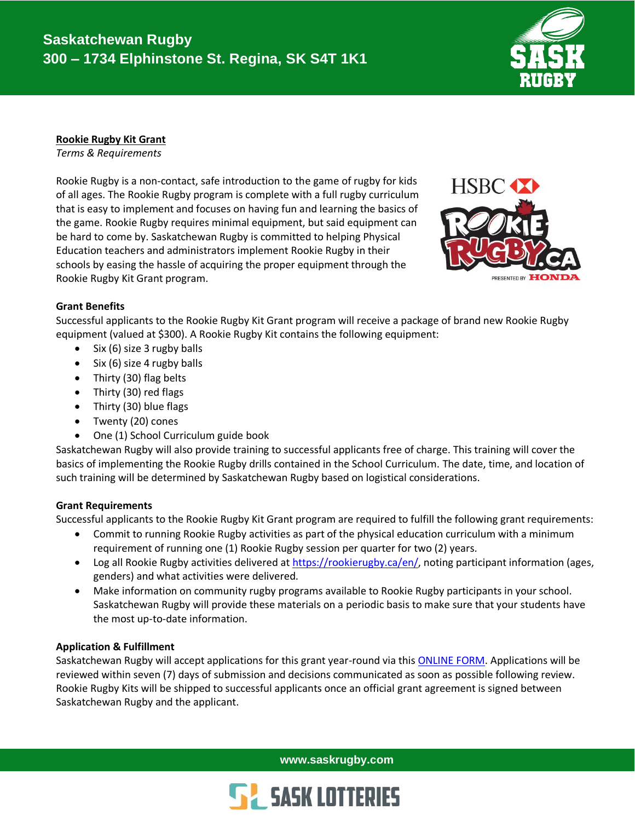

# **Rookie Rugby Kit Grant**

*Terms & Requirements*

Rookie Rugby is a non-contact, safe introduction to the game of rugby for kids of all ages. The Rookie Rugby program is complete with a full rugby curriculum that is easy to implement and focuses on having fun and learning the basics of the game. Rookie Rugby requires minimal equipment, but said equipment can be hard to come by. Saskatchewan Rugby is committed to helping Physical Education teachers and administrators implement Rookie Rugby in their schools by easing the hassle of acquiring the proper equipment through the Rookie Rugby Kit Grant program.



# **Grant Benefits**

Successful applicants to the Rookie Rugby Kit Grant program will receive a package of brand new Rookie Rugby equipment (valued at \$300). A Rookie Rugby Kit contains the following equipment:

- Six (6) size 3 rugby balls
- Six (6) size 4 rugby balls
- Thirty (30) flag belts
- Thirty (30) red flags
- Thirty (30) blue flags
- Twenty (20) cones
- One (1) School Curriculum guide book

Saskatchewan Rugby will also provide training to successful applicants free of charge. This training will cover the basics of implementing the Rookie Rugby drills contained in the School Curriculum. The date, time, and location of such training will be determined by Saskatchewan Rugby based on logistical considerations.

## **Grant Requirements**

Successful applicants to the Rookie Rugby Kit Grant program are required to fulfill the following grant requirements:

- Commit to running Rookie Rugby activities as part of the physical education curriculum with a minimum requirement of running one (1) Rookie Rugby session per quarter for two (2) years.
- Log all Rookie Rugby activities delivered at [https://rookierugby.ca/en/,](https://rookierugby.ca/en/) noting participant information (ages, genders) and what activities were delivered.
- Make information on community rugby programs available to Rookie Rugby participants in your school. Saskatchewan Rugby will provide these materials on a periodic basis to make sure that your students have the most up-to-date information.

## **Application & Fulfillment**

Saskatchewan Rugby will accept applications for this grant year-round via this [ONLINE FORM.](https://saskrugby.wufoo.com/forms/sj6hy9h0kc9t1t/) Applications will be reviewed within seven (7) days of submission and decisions communicated as soon as possible following review. Rookie Rugby Kits will be shipped to successful applicants once an official grant agreement is signed between Saskatchewan Rugby and the applicant.

**www.saskrugby.com**